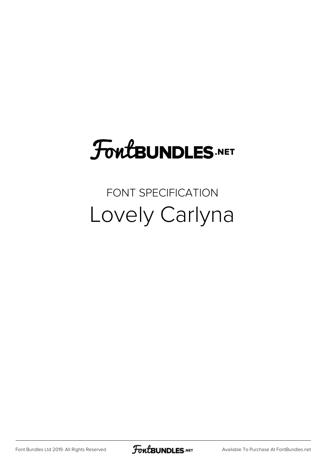## **FoutBUNDLES.NET**

## FONT SPECIFICATION Lovely Carlyna

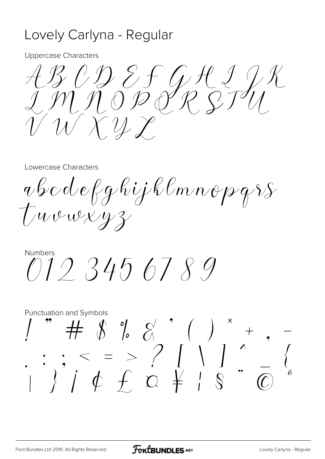## Lovely Carlyna - Regular

**Uppercase Characters** 

ABCDEFGAIJK<br>IMMODORSTU  $\mathcal{U} \times \mathcal{U} \times$ 

Lowercase Characters

abodefghijklmnopgss Two wery z

**Numbers**  $0123456789$ 

**Punctuation and Symbols**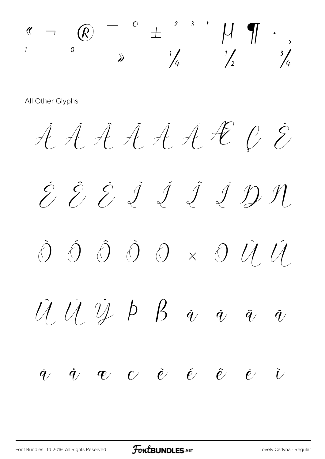

All Other Glyphs

*À Á Â Ã Ä ÅÆÇ È É Ê Ë Ì Í Î Ï Ð Ñ Ò Ó Ô Õ Ö × Ø Ù Ú Û Ü Ý Þ ß à á â ã ä å æ ç è é ê ë ì*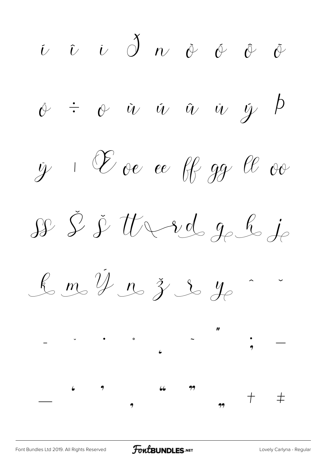$\begin{array}{ccccccccccccccccc} \hat{\nu} & \hat{\nu} & \hat{\omega} & \hat{\omega} & \hat{\omega} & \hat{\omega} & \hat{\omega} & \hat{\omega} & \hat{\omega} \end{array}$  $\phi$   $\div$   $\phi$   $\dot{u}$   $\dot{u}$   $\dot{u}$   $\dot{u}$   $\dot{y}$   $\dot{p}$  $\dot{y}$  1  $\mathscr C$  oe ee ff gg  $\ell\ell$  oo SS & & the red go he je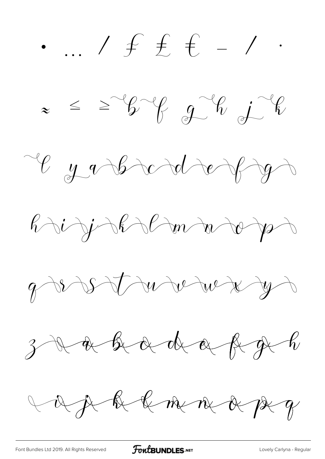*• … ⁄ ₣ ₤ € − ∕ ∙ ≈ ≤ ≥* Lyabradofy  $\ell\rightarrow i\rightarrow j\rightarrow \ell\rightarrow \ell\rightarrow m\rightarrow v\rightarrow p\rightarrow p$ of a strunder yr  $3$  a bad a fight Vage he hane a peg